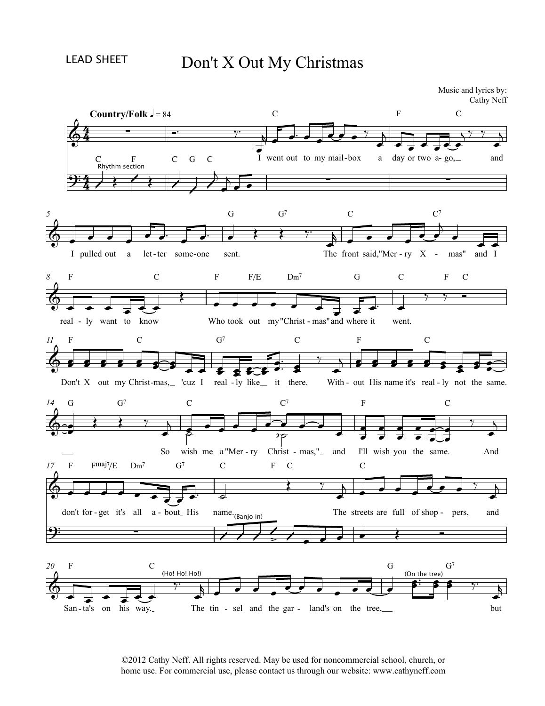## Don't X Out My Christmas

 $\begin{array}{ccc}\nC & & & \rightarrow & \bullet & \bullet & \bullet \\
\downarrow & & & \bullet & \bullet & \bullet & \bullet \\
\downarrow & & & \downarrow & & \downarrow \\
\downarrow & & & \downarrow & & \downarrow \\
\end{array}$ C  $\overrightarrow{O}$  or  $\overrightarrow{O}$  of  $\overrightarrow{O}$  out to my mail-box a day or two a-go, F  $\begin{array}{c}\n\begin{array}{ccc}\n\bullet & \bullet & \bullet \\
\hline\n\end{array} & \begin{array}{c}\n\bullet & \bullet \\
\hline\n\end{array} & \begin{array}{c}\n\bullet & \bullet \\
\hline\n\end{array} & \begin{array}{c}\n\bullet & \bullet \\
\hline\n\end{array} & \begin{array}{c}\n\bullet & \bullet \\
\hline\n\end{array} & \begin{array}{c}\n\bullet & \bullet \\
\hline\n\end{array} & \begin{array}{c}\n\bullet & \bullet \\
\hline\n\end{array} & \begin{array}{c}\n\bullet & \bullet \\
\hline\n\end{array} & \begin{array}{c}\n\bullet & \bullet \\
\hline$ C and **Country/Folk**  $\frac{1}{2} = 84$  $\sqrt{ }$  = 84  $\begin{array}{ccc}\n\bigodot & \bullet & \bullet & \bullet \\
\bigodot & \bullet & \bullet & \bullet \\
\bullet & \bullet & \bullet & \bullet \\
\bullet & \bullet & \bullet & \bullet\n\end{array}$ G<br>I pulled out a let-ter some-one sent.  $G$   $G<sup>7</sup>$ The front said,"Mer - ry C  $C^7$ <br>said, "Mer - ry X - mas"  $C<sup>7</sup>$  $\overrightarrow{C}$ <br>- mas" and I *5*real - ly want to know F  $\begin{array}{c}\n C \\
 \hline\n \end{array}$  - ly want to know C Who took o F  $F/E$  Dm<sup>7</sup><br>took out my "Christ - r F/E  $\overrightarrow{c}$  and where it  $Dm^7$  $\begin{array}{c}\nG \\
\hline\n\end{array}$  - mas" and where it went. G  $\begin{array}{c|cc}\n & C & F \\
\hline\n\end{array}$ <br>it went. *8* C F C Don't F  $\begin{array}{ccc} & & & & \\ \text{c} & \text{d} & \text{e} & \text{f} & \text{g} \\ \text{X} & \text{out} & \text{my Christ-mas}, \text{``cuz} \end{array}$ C -mas, 'cuz I real  $G<sup>7</sup>$  $\begin{array}{ccc}\n & \text{c} \\
\hline\n\end{array}$ <br>- ly like it there. With-C F<br> **8 8 8 8 9 9 9 10**<br>
With - out His name it's real - ly not the F C s a solution of the same. *11* $G$   $G<sup>7</sup>$ So wish me a "Mer - ry  $G^7$  C C me a "Mer - ry Christ - mas,  $C<sup>7</sup>$  $\overrightarrow{a}$   $\overrightarrow{b}$   $\overrightarrow{c}$   $\overrightarrow{d}$   $\overrightarrow{d}$   $\overrightarrow{d}$   $\overrightarrow{d}$   $\overrightarrow{d}$   $\overrightarrow{d}$   $\overrightarrow{d}$   $\overrightarrow{d}$   $\overrightarrow{d}$   $\overrightarrow{d}$   $\overrightarrow{d}$   $\overrightarrow{d}$   $\overrightarrow{d}$   $\overrightarrow{d}$   $\overrightarrow{d}$   $\overrightarrow{d}$   $\overrightarrow{d}$   $\overrightarrow{d}$   $\overrightarrow{d}$   $\overrightarrow{d}$   $\overrightarrow{d}$   $\overrightarrow{$ F  $\frac{1}{2}$   $\frac{1}{2}$   $\frac{1}{2}$   $\frac{1}{2}$   $\frac{1}{2}$   $\frac{1}{2}$   $\frac{1}{2}$   $\frac{1}{2}$   $\frac{1}{2}$   $\frac{1}{2}$   $\frac{1}{2}$   $\frac{1}{2}$   $\frac{1}{2}$   $\frac{1}{2}$   $\frac{1}{2}$   $\frac{1}{2}$   $\frac{1}{2}$   $\frac{1}{2}$   $\frac{1}{2}$   $\frac{1}{2}$   $\frac{1}{2}$   $\frac{1}{2}$  C And *14*don't for - get it's all F  $F^{\text{maj7}}/E$  Dm<sup>7</sup> Finally  $\left\vert \begin{array}{ccc} E & Dm' \\ \hline \end{array} \right\vert$ <br>for - get it's all a - $\frac{1}{\sqrt{1 + \frac{1}{c}}}}$   $\frac{1}{\sqrt{1 + \frac{1}{c}}}}$   $\frac{1}{\sqrt{1 + \frac{1}{c}}}}$   $\frac{1}{\sqrt{1 + \frac{1}{c}}}}$   $\frac{1}{\sqrt{1 + \frac{1}{c}}}}$   $\frac{1}{\sqrt{1 + \frac{1}{c}}}}$   $\frac{1}{\sqrt{1 + \frac{1}{c}}}}$   $\frac{1}{\sqrt{1 + \frac{1}{c}}}}$   $\frac{1}{\sqrt{1 + \frac{1}{c}}}}$   $\frac{1}{\sqrt{1 + \frac{1}{c}}}}$   $\frac{1}{\sqrt{1 +$  $Dm<sup>7</sup>$  $G'$  C<br>  $\overrightarrow{G}$   $\overrightarrow{G}$   $\overrightarrow{G}$ <br>  $\overrightarrow{G}$   $\overrightarrow{G}$ <br>  $\overrightarrow{G}$   $\overrightarrow{G}$  $G<sup>7</sup>$  $G^7$  C F<br>  $\begin{array}{|c|c|c|c|}\n\hline\n\text{H} & \text{H} & \text{H} \\
\hline\n\text{H} & \text{H} & \text{H} \\
\hline\n\text{H} & \text{H} & \text{H} \\
\hline\n\text{H} & \text{H} & \text{H} \\
\hline\n\text{H} & \text{H} & \text{H} \\
\hline\n\text{H} & \text{H} & \text{H} \\
\hline\n\text{H} & \text{H} & \text{H} \\
\hline\n\text{H} & \text{H} & \text{H} \\
\hline\n\text{H} & \text{H} & \$ <sup>C</sup> F C The streets are full of shop - pers,  $\overline{C}$ are full of shop - pers, and *17* $\overrightarrow{B}$   $\overrightarrow{C}$   $\overrightarrow{C}$   $\overrightarrow{B}$   $\overrightarrow{B}$   $\overrightarrow{B}$   $\overrightarrow{B}$   $\overrightarrow{B}$   $\overrightarrow{B}$   $\overrightarrow{B}$   $\overrightarrow{B}$   $\overrightarrow{B}$   $\overrightarrow{B}$   $\overrightarrow{B}$   $\overrightarrow{B}$   $\overrightarrow{C}$   $\overrightarrow{B}$   $\overrightarrow{C}$   $\overrightarrow{B}$   $\overrightarrow{C}$   $\overrightarrow{B}$   $\overrightarrow{C}$   $\overrightarrow{C}$   $\overrightarrow{C}$   $\overrightarrow{$ F  $\begin{array}{c}\n\begin{array}{ccc}\nC & \text{(Ho! Ho! Ho! Ho!}\n\end{array} \\
\hline\n\end{array}$  -ta's on his way. C<br>(Ho! Ho! Ho!)  $\begin{array}{ccc}\n\bullet & \bullet & \bullet & \bullet & \bullet & \bullet & \bullet & \bullet\n\end{array}$ <br>
The tin - sel and the gar - land's on the tree,  $G<sup>7</sup>$ *20*4  $\frac{4}{4}$  - $\frac{4}{4}$  $\frac{4}{94}$  -∑ Music and lyrics by:<br>Cathy Neff d lyrics by:<br>Cathy Neff ∑ ∑ 6. . . .  $\circ$ &  $\oint_C$   $\rightarrow$   $\rightarrow$   $\rightarrow$ bo **6. . . . . .** ? ∑  $\begin{array}{c}\n\text{F} \quad \text{C}\n\end{array}$  $>$   $\rightarrow$   $\rightarrow$   $\rightarrow$  $\circ$   $\qquad$  $\sqrt{\frac{H_0 H_0}{H_0}}$  $\begin{array}{|c|c|c|}\n\hline\n\text{(\textit{band})} & \text{...} & \text{...} \\
\hline\n\end{array}$  $\blacksquare$   $\blacksquare$   $\blacksquare$   $\blacksquare$   $\blacksquare$   $\blacksquare$   $\blacksquare$   $\blacksquare$   $\blacksquare$   $\blacksquare$   $\blacksquare$   $\blacksquare$   $\blacksquare$   $\blacksquare$   $\blacksquare$   $\blacksquare$   $\blacksquare$   $\blacksquare$   $\blacksquare$   $\blacksquare$   $\blacksquare$   $\blacksquare$   $\blacksquare$   $\blacksquare$   $\blacksquare$   $\blacksquare$   $\blacksquare$   $\blacksquare$   $\blacksquare$   $\blacksquare$   $\blacksquare$   $\blacks$  $\frac{1}{2}$  $\sqrt{e^+e^-}$ œ™ œ œ  $\frac{1}{2}$   $\frac{1}{2}$   $\frac{1}{2}$  $\frac{1}{2}$  $\sqrt{2}$  $\frac{1}{\sqrt{2}}$  $\overrightarrow{e}$ and lyrics by:<br>
Cathy Neff<br>  $\begin{array}{ccc}\n\sqrt{7} & \sqrt{7} \\
\hline\n\end{array}$  and  $\overline{\nabla}$  $\overline{\phantom{a}}$  $\mathcal{E} \left( \begin{array}{c} \mathcal{E} \end{array} \right)$  $\overline{\phantom{a}}$  $\overrightarrow{ }$  $\sum_{i=1}^{n}$ <sup>j</sup> <sup>œ</sup> <sup>œ</sup>  $\overrightarrow{e}$ œ œ œ œ œ™ œ œ™ œ G<sup>7</sup> C<br>  $\begin{array}{cccc}\n & G^7 & & C \\
\hline\n\end{array}$  The front said, "Mer - ry  $\sum_{i=1}^{n}$ **。。。。**。  $\overline{c}$  $\overline{\phantom{a}}$ œ œ œ œ œ œ œ œ  $\frac{1}{2}$ œ™ œ  $\begin{array}{c}\n\bullet \\
\bullet \\
\bullet \\
\bullet\n\end{array}$   $\begin{array}{c}\n\bullet \\
\bullet \\
\bullet \\
\bullet \\
\bullet\n\end{array}$  $\frac{1}{2}$   $\frac{1}{2}$   $\frac{1}{2}$   $\frac{1}{2}$   $\frac{1}{2}$   $\frac{1}{2}$   $\frac{1}{2}$   $\frac{1}{2}$   $\frac{1}{2}$   $\frac{1}{2}$   $\frac{1}{2}$   $\frac{1}{2}$   $\frac{1}{2}$   $\frac{1}{2}$   $\frac{1}{2}$   $\frac{1}{2}$   $\frac{1}{2}$   $\frac{1}{2}$   $\frac{1}{2}$   $\frac{1}{2}$   $\frac{1}{2}$   $\frac{1}{2}$   $\frac{1}{2}$  $\bullet$   $\bullet$   $\bullet$  $rac{1}{\sqrt{2}}$  $\cdot$  \$  $\frac{1}{2}$  8 %  $j \frac{1}{2}$   $j \frac{1}{2}$   $k \frac{1}{2}$   $k \frac{1}{2}$   $k \frac{1}{2}$  $\bullet \bullet \Rightarrow$ œ e de la partida de la partida de la partida de la partida de la partida de la partida de la partida de la part<br>De la partida de la partida de la partida de la partida de la partida de la partida de la partida de la partid  $\bullet$ **EXECUTE:**<br>
out my Christ-mas, \_ 'cuz I real -ly like<br>  $G^7$  C<br>  $G^7$  C<br>
So wish me a "Mer - ry  $\frac{1}{2}$  $\epsilon$   $\rightarrow$  $e$  $\overline{\cdot}$   $\overline{\cdot}$   $\overline{\cdot}$  $\frac{1}{2}$  $rac{1}{\sqrt{p}}$  $\bullet$  $\frac{1}{2}$   $\frac{1}{2}$   $\frac{1}{2}$  $\bullet$   $\bullet$   $\bullet$  $\frac{1}{2}$   $\frac{1}{2}$   $\frac{1}{2}$ œ  $\overline{z}$  ,  $\overline{z}$  ,  $\overline{z}$  ,  $\overline{z}$ e e e e ₹€€  $\overline{\phantom{a}}$ ₹₹  $\overline{\mathbf{e}}$ œ  $\bullet$   $\qquad \bullet$  $\overrightarrow{y}$  $\overline{\phantom{0}}$  $\overrightarrow{e}$   $\overrightarrow{e}$   $\overrightarrow{e}$   $\overrightarrow{e}$   $\overrightarrow{e}$   $\overrightarrow{e}$   $\overrightarrow{e}$   $\overrightarrow{e}$   $\overrightarrow{e}$  $\bullet$   $\bullet$   $\bullet$ Œ ‰ <sup>œ</sup> j œ œ œ œ  $\frac{1}{2}$   $\frac{1}{2}$   $\frac{1}{2}$  $\left\langle \frac{1}{2} \right\rangle$  $\overline{\phantom{0}}$  $\frac{1}{2}$  $\sqrt{ }$  $\begin{array}{ccc}\n\begin{array}{ccc}\n\begin{array}{ccc}\n\swarrow & \swarrow \\
\hline\n\swarrow & \swarrow \\
\end{array}\n\end{array}$ The streets are full of shop- pers, and<br>  $\begin{array}{ccc}\n\swarrow & \swarrow \\
\end{array}\n\end{array}$  $\bullet$   $\bullet$   $\bullet$   $\bullet$  $\frac{1}{2}$  $\sum_{i=1}^{n}$ œ œ œ œ œ œ œ  $\bullet$   $\bullet$   $\bullet$   $\bullet$   $\bullet$   $\bullet$ (On the tree) ™ <sup>œ</sup> œœ ‰™ <sup>œ</sup> r

> ©2012 Cathy Neff. All rights reserved. May be used for noncommercial school, church, or home use. For commercial use, please contact us through our website: www.cathyneff.com

but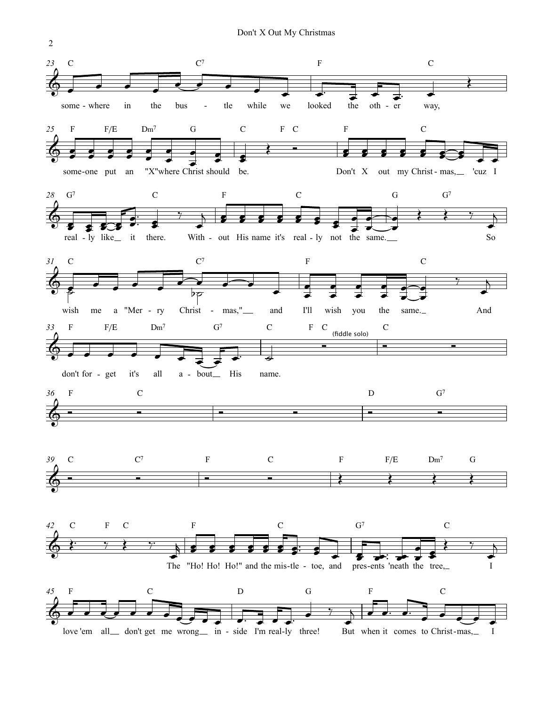

 $\overline{2}$